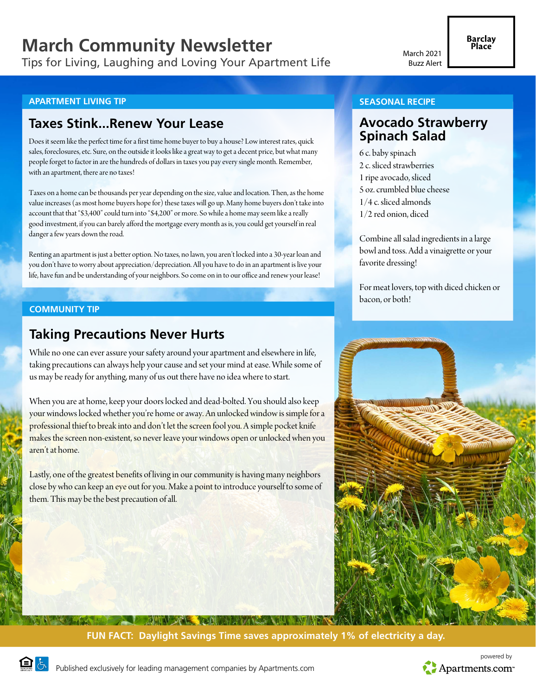# **March Community Newsletter**

Tips for Living, Laughing and Loving Your Apartment Life

### **APARTMENT LIVING TIP**

## **Taxes Stink...Renew Your Lease**

Does it seem like the perfect time for a first time home buyer to buy a house? Low interest rates, quick sales, foreclosures, etc. Sure, on the outside it looks like a great way to get a decent price, but what many people forget to factor in are the hundreds of dollars in taxes you pay every single month. Remember, with an apartment, there are no taxes!

Taxes on a home can be thousands per year depending on the size, value and location. Then, as the home value increases (as most home buyers hope for) these taxes will go up. Many home buyers don't take into account that that "\$3,400" could turn into "\$4,200" or more. So while a home may seem like a really good investment, if you can barely afford the mortgage every month as is, you could get yourself in real danger a few years down the road.

Renting an apartment is just a better option. No taxes, no lawn, you aren't locked into a 30-year loan and you don't have to worry about appreciation/depreciation. All you have to do in an apartment is live your life, have fun and be understanding of your neighbors. So come on in to our office and renew your lease!

### **COMMUNITY TIP**

# **Taking Precautions Never Hurts**

While no one can ever assure your safety around your apartment and elsewhere in life, taking precautions can always help your cause and set your mind at ease. While some of us may be ready for anything, many of us out there have no idea where to start.

When you are at home, keep your doors locked and dead-bolted. You should also keep your windows locked whether you're home or away. An unlocked window is simple for a professional thief to break into and don't let the screen fool you. A simple pocket knife makes the screen non-existent, so never leave your windows open or unlocked when you aren't at home.

Lastly, one of the greatest benefits of living in our community is having many neighbors close by who can keep an eye out for you. Make a point to introduce yourself to some of them. This may be the best precaution of all.

#### **SEASONAL RECIPE**

## **Avocado Strawberry Spinach Salad**

6 c. baby spinach 2 c. sliced strawberries 1 ripe avocado, sliced 5 oz. crumbled blue cheese 1/4 c. sliced almonds 1/2 red onion, diced

Combine all salad ingredients in a large bowl and toss. Add a vinaigrette or your favorite dressing!

For meat lovers, top with diced chicken or bacon, or both!



## **BUIN SENT BEAM AND LANGE FUN FACT: Daylight Savings Time saves approximately 1% of electricity a day.**